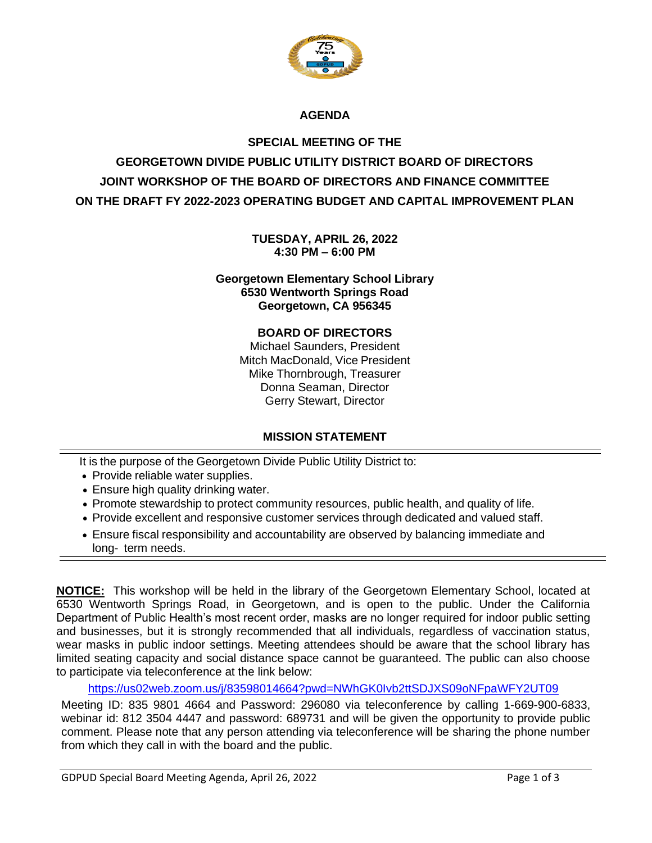

# **AGENDA**

# **SPECIAL MEETING OF THE GEORGETOWN DIVIDE PUBLIC UTILITY DISTRICT BOARD OF DIRECTORS JOINT WORKSHOP OF THE BOARD OF DIRECTORS AND FINANCE COMMITTEE ON THE DRAFT FY 2022-2023 OPERATING BUDGET AND CAPITAL IMPROVEMENT PLAN**

**TUESDAY, APRIL 26, 2022 4:30 PM – 6:00 PM**

**Georgetown Elementary School Library 6530 Wentworth Springs Road Georgetown, CA 956345**

#### **BOARD OF DIRECTORS**

Michael Saunders, President Mitch MacDonald, Vice President Mike Thornbrough, Treasurer Donna Seaman, Director Gerry Stewart, Director

# **MISSION STATEMENT**

It is the purpose of the Georgetown Divide Public Utility District to:

- Provide reliable water supplies.
- Ensure high quality drinking water.
- Promote stewardship to protect community resources, public health, and quality of life.
- Provide excellent and responsive customer services through dedicated and valued staff.
- Ensure fiscal responsibility and accountability are observed by balancing immediate and long- term needs.

**NOTICE:** This workshop will be held in the library of the Georgetown Elementary School, located at 6530 Wentworth Springs Road, in Georgetown, and is open to the public. Under the California Department of Public Health's most recent order, masks are no longer required for indoor public setting and businesses, but it is strongly recommended that all individuals, regardless of vaccination status, wear masks in public indoor settings. Meeting attendees should be aware that the school library has limited seating capacity and social distance space cannot be guaranteed. The public can also choose to participate via teleconference at the link below:

<https://us02web.zoom.us/j/83598014664?pwd=NWhGK0Ivb2ttSDJXS09oNFpaWFY2UT09>

Meeting ID: 835 9801 4664 and Password: 296080 via teleconference by calling 1-669-900-6833, webinar id: 812 3504 4447 and password: 689731 and will be given the opportunity to provide public comment. Please note that any person attending via teleconference will be sharing the phone number from which they call in with the board and the public.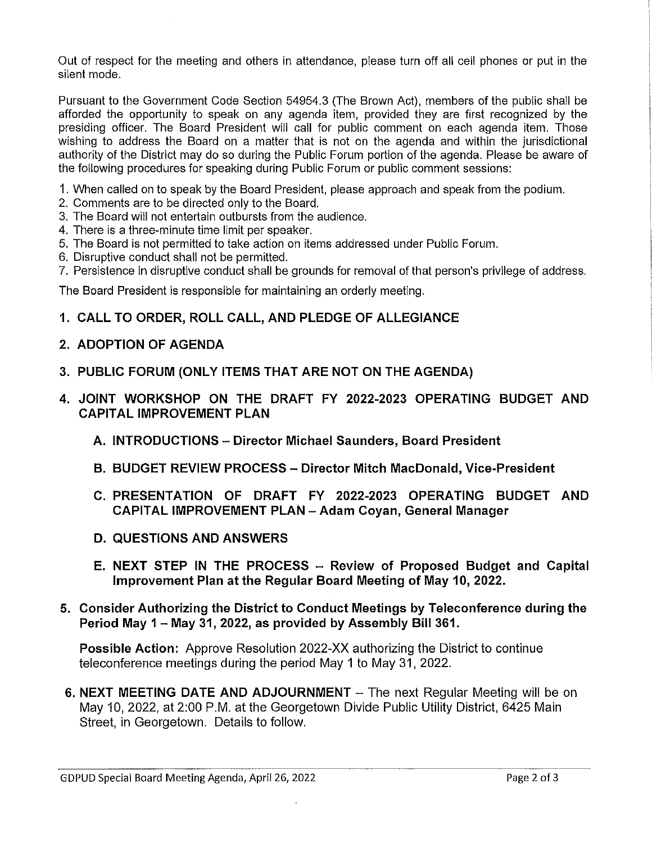Out of respect for the meeting and others in attendance, please turn off all cell phones or put in the silent mode

Pursuant to the Government Code Section 54954.3 (The Brown Act), members of the public shall be afforded the opportunity to speak on any agenda item, provided they are first recognized by the presiding officer. The Board President will call for public comment on each agenda item. Those wishing to address the Board on a matter that is not on the agenda and within the jurisdictional authority of the District may do so during the Public Forum portion of the agenda. Please be aware of the following procedures for speaking during Public Forum or public comment sessions:

1. When called on to speak by the Board President, please approach and speak from the podium.

- 2. Comments are to be directed only to the Board.
- 3. The Board will not entertain outbursts from the audience.
- 4. There is a three-minute time limit per speaker.
- 5. The Board is not permitted to take action on items addressed under Public Forum.
- 6. Disruptive conduct shall not be permitted.
- 7. Persistence in disruptive conduct shall be grounds for removal of that person's privilege of address.

The Board President is responsible for maintaining an orderly meeting.

# 1. CALL TO ORDER, ROLL CALL, AND PLEDGE OF ALLEGIANCE

# 2. ADOPTION OF AGENDA

- 3. PUBLIC FORUM (ONLY ITEMS THAT ARE NOT ON THE AGENDA)
- 4. JOINT WORKSHOP ON THE DRAFT FY 2022-2023 OPERATING BUDGET AND **CAPITAL IMPROVEMENT PLAN** 
	- A. INTRODUCTIONS Director Michael Saunders. Board President
	- B. BUDGET REVIEW PROCESS Director Mitch MacDonald, Vice-President
	- C. PRESENTATION OF DRAFT FY 2022-2023 OPERATING BUDGET AND **CAPITAL IMPROVEMENT PLAN - Adam Covan, General Manager**
	- **D. QUESTIONS AND ANSWERS**
	- E. NEXT STEP IN THE PROCESS Review of Proposed Budget and Capital Improvement Plan at the Regular Board Meeting of May 10, 2022.
- 5. Consider Authorizing the District to Conduct Meetings by Teleconference during the Period May 1 - May 31, 2022, as provided by Assembly Bill 361.

**Possible Action:** Approve Resolution 2022-XX authorizing the District to continue teleconference meetings during the period May 1 to May 31, 2022.

6. NEXT MEETING DATE AND ADJOURNMENT  $-$  The next Regular Meeting will be on May 10, 2022, at 2:00 P.M. at the Georgetown Divide Public Utility District, 6425 Main Street, in Georgetown. Details to follow.